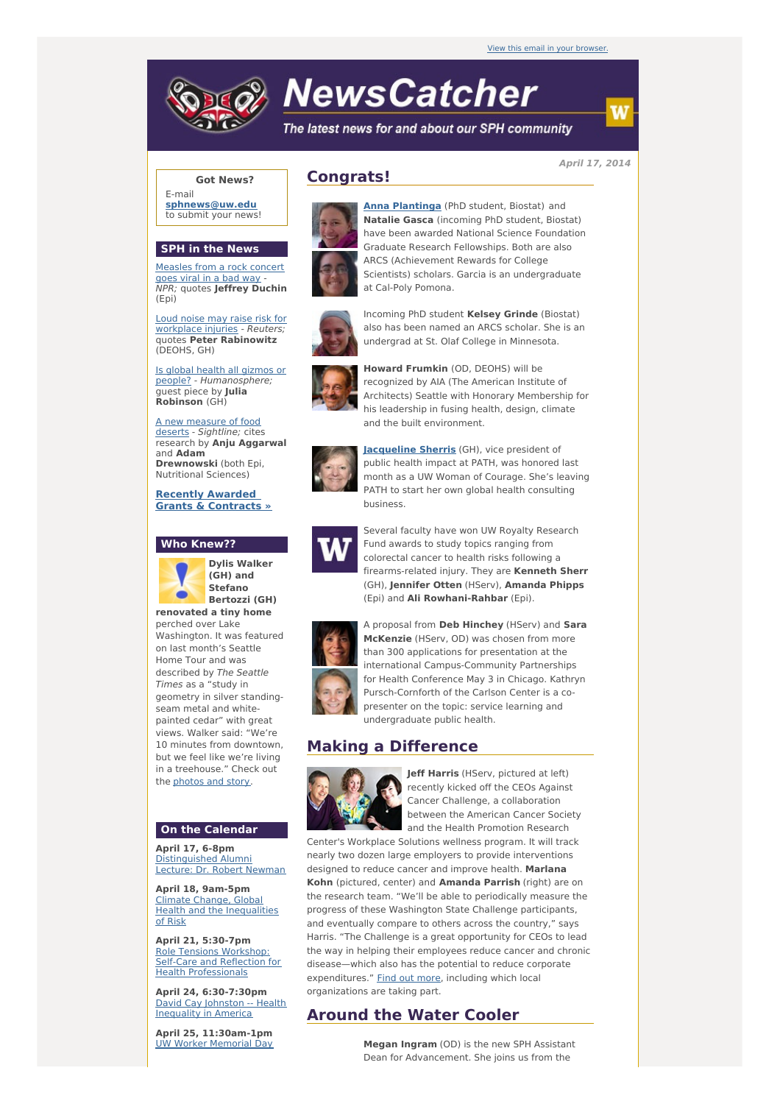# **NewsCatcher**

The latest news for and about our SPH community

**April 17, 2014**

# **Got News?**

E-mail **[sphnews@uw.edu](mailto:sphnews@uw.edu)** to submit your news!

### **SPH in the News**

[Measles](http://engage.washington.edu/site/R?i=M2Yj81s_DFYaU36DkgutGg) from a rock concert goes viral in a bad way - NPR; quotes **Jeffrey Duchin** (Epi)

Loud noise may raise risk for [workplace](http://engage.washington.edu/site/R?i=HNE-emVO99N0I06vbHPSHg) injuries - Reuters; quotes **Peter Rabinowitz** (DEOHS, GH)

Is global health all gizmos or people? - [Humanosphere;](http://engage.washington.edu/site/R?i=2C0ddp5mET95l9T4K0IqOA) guest piece by **Julia Robinson** (GH)

A new [measure](http://engage.washington.edu/site/R?i=UzWhioYh9Xp52atm8M9Wfg) of food deserts - Sightline; cites research by **Anju Aggarwal** and **Adam Drewnowski** (both Epi, Nutritional Sciences)

**Recently Awarded Grants & [Contracts](http://engage.washington.edu/site/R?i=8trV0K_6bQf5zrX9NDHHVg) »**

# **Who Knew??**



**Dylis Walker (GH) and Stefano Bertozzi (GH) renovated a tiny home**

perched over Lake Washington. It was featured on last month's Seattle Home Tour and was described by The Seattle Times as a "study in geometry in silver standingseam metal and whitepainted cedar" with great views. Walker said: "We're 10 minutes from downtown, but we feel like we're living in a treehouse." Check out the [photos](http://engage.washington.edu/site/R?i=hwhqsI7lnUKHxAwfBmMirg) and story.

#### **On the Calendar**

**April 17, 6-8pm** [Distinguished](http://engage.washington.edu/site/R?i=3dFDOskKbT1WaB_IAxyDzg) Alumni Lecture: Dr. Robert Newman

**April 18, 9am-5pm** Climate Change, Global Health and the [Inequalities](http://engage.washington.edu/site/R?i=IDPy6exKG9BKkze_vOsM1Q) of Risk

**April 21, 5:30-7pm** Role Tensions Workshop: Self-Care and Reflection for Health [Professionals](http://engage.washington.edu/site/R?i=Ogzp37_r06LtJZ0KnuIAtA)

**April 24, 6:30-7:30pm** David Cay Johnston -- Health [Inequality](http://engage.washington.edu/site/R?i=3ZH10wSG03LK6pRdLuP_Vw) in America

**April 25, 11:30am-1pm** UW Worker [Memorial](http://engage.washington.edu/site/R?i=V5dgVB4rtfyRnL8nGhQ-kQ) Day

# **Congrats!**



**Anna [Plantinga](http://engage.washington.edu/site/R?i=rJX7V6zaH5mYCxg3vc15hg)** (PhD student, Biostat) and **Natalie Gasca** (incoming PhD student, Biostat) have been awarded National Science Foundation Graduate Research Fellowships. Both are also ARCS (Achievement Rewards for College Scientists) scholars. Garcia is an undergraduate at Cal-Poly Pomona.





**Howard Frumkin** (OD, DEOHS) will be recognized by AIA (The American Institute of Architects) Seattle with Honorary Membership for his leadership in fusing health, design, climate

and the built environment.

Incoming PhD student **Kelsey Grinde** (Biostat) also has been named an ARCS scholar. She is an undergrad at St. Olaf College in Minnesota.



**[Jacqueline](http://engage.washington.edu/site/R?i=IvaxflQk5LLIUAdyUb7xjA) Sherris** (GH), vice president of public health impact at PATH, was honored last month as a UW Woman of Courage. She's leaving PATH to start her own global health consulting business.



Several faculty have won UW Royalty Research Fund awards to study topics ranging from colorectal cancer to health risks following a firearms-related injury. They are **Kenneth Sherr** (GH), **Jennifer Otten** (HServ), **Amanda Phipps** (Epi) and **Ali Rowhani-Rahbar** (Epi).



A proposal from **Deb Hinchey** (HServ) and **Sara McKenzie** (HServ, OD) was chosen from more than 300 applications for presentation at the international Campus-Community Partnerships for Health Conference May 3 in Chicago. Kathryn Pursch-Cornforth of the Carlson Center is a copresenter on the topic: service learning and undergraduate public health.

# **Making a Difference**



**Jeff Harris** (HServ, pictured at left) recently kicked off the CEOs Against Cancer Challenge, a collaboration between the American Cancer Society and the Health Promotion Research

Center's Workplace Solutions wellness program. It will track nearly two dozen large employers to provide interventions designed to reduce cancer and improve health. **Marlana Kohn** (pictured, center) and **Amanda Parrish** (right) are on the research team. "We'll be able to periodically measure the progress of these Washington State Challenge participants, and eventually compare to others across the country," says Harris. "The Challenge is a great opportunity for CEOs to lead the way in helping their employees reduce cancer and chronic disease—which also has the potential to reduce corporate expenditures." Find out [more](http://engage.washington.edu/site/R?i=Da7umTLVoVuJzpjgBHo1PA), including which local organizations are taking part.

# **Around the Water Cooler**

**Megan Ingram** (OD) is the new SPH Assistant Dean for Advancement. She joins us from the